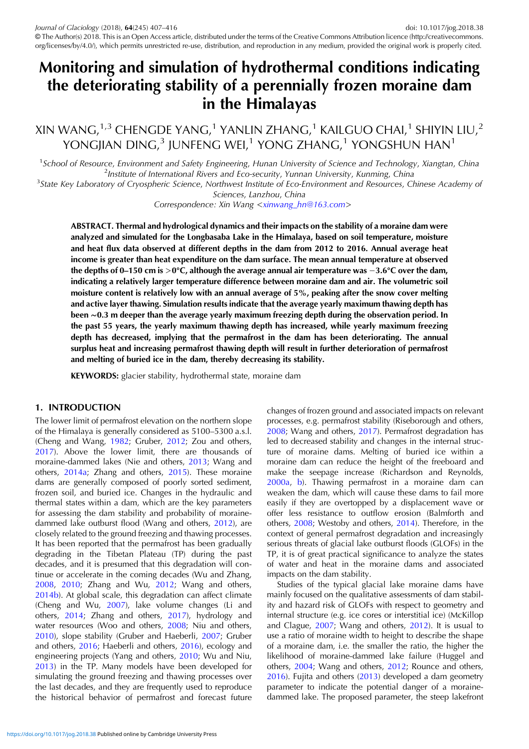# Monitoring and simulation of hydrothermal conditions indicating the deteriorating stability of a perennially frozen moraine dam in the Himalayas

XIN WANG, $^{1,3}$  CHENGDE YANG, $^{1}$  YANLIN ZHANG, $^{1}$  KAILGUO CHAI, $^{1}$  SHIYIN LIU, $^{2}$ YONGJIAN DING, $3$  JUNFENG WEI,<sup>1</sup> YONG ZHANG,<sup>1</sup> YONGSHUN HAN<sup>1</sup>

<sup>1</sup>School of Resource, Environment and Safety Engineering, Hunan University of Science and Technology, Xiangtan, China<br><sup>2</sup> lostitute of International Rivers and Eco-security, Yunnan University, Kunming, China  $<sup>2</sup>$ Institute of International Rivers and Eco-security, Yunnan University, Kunming, China</sup>

<sup>3</sup>State Key Laboratory of Cryospheric Science, Northwest Institute of Eco-Environment and Resources, Chinese Academy of

Sciences, Lanzhou, China

Correspondence: Xin Wang <[xinwang\\_hn@163.com](mailto:xinwang_hn@163.com)>

ABSTRACT. Thermal and hydrological dynamics and their impacts on the stability of a moraine dam were analyzed and simulated for the Longbasaba Lake in the Himalaya, based on soil temperature, moisture and heat flux data observed at different depths in the dam from 2012 to 2016. Annual average heat income is greater than heat expenditure on the dam surface. The mean annual temperature at observed the depths of 0–150 cm is >0°C, although the average annual air temperature was −3.6°C over the dam, indicating a relatively larger temperature difference between moraine dam and air. The volumetric soil moisture content is relatively low with an annual average of 5%, peaking after the snow cover melting and active layer thawing. Simulation results indicate that the average yearly maximum thawing depth has been ∼0.3 m deeper than the average yearly maximum freezing depth during the observation period. In the past 55 years, the yearly maximum thawing depth has increased, while yearly maximum freezing depth has decreased, implying that the permafrost in the dam has been deteriorating. The annual surplus heat and increasing permafrost thawing depth will result in further deterioration of permafrost and melting of buried ice in the dam, thereby decreasing its stability.

KEYWORDS: glacier stability, hydrothermal state, moraine dam

## 1. INTRODUCTION

The lower limit of permafrost elevation on the northern slope of the Himalaya is generally considered as 5100–5300 a.s.l. (Cheng and Wang, [1982](#page-8-0); Gruber, [2012;](#page-8-0) Zou and others, [2017\)](#page-9-0). Above the lower limit, there are thousands of moraine-dammed lakes (Nie and others, [2013](#page-8-0); Wang and others, [2014a;](#page-9-0) Zhang and others, [2015\)](#page-9-0). These moraine dams are generally composed of poorly sorted sediment, frozen soil, and buried ice. Changes in the hydraulic and thermal states within a dam, which are the key parameters for assessing the dam stability and probability of morainedammed lake outburst flood (Wang and others, [2012](#page-9-0)), are closely related to the ground freezing and thawing processes. It has been reported that the permafrost has been gradually degrading in the Tibetan Plateau (TP) during the past decades, and it is presumed that this degradation will continue or accelerate in the coming decades (Wu and Zhang, [2008,](#page-9-0) [2010](#page-9-0); Zhang and Wu, [2012](#page-9-0); Wang and others, [2014b\)](#page-9-0). At global scale, this degradation can affect climate (Cheng and Wu, [2007](#page-8-0)), lake volume changes (Li and others, [2014;](#page-8-0) Zhang and others, [2017\)](#page-9-0), hydrology and water resources (Woo and others, [2008](#page-9-0); Niu and others, [2010\)](#page-8-0), slope stability (Gruber and Haeberli, [2007](#page-8-0); Gruber and others, [2016;](#page-8-0) Haeberli and others, [2016](#page-8-0)), ecology and engineering projects (Yang and others, [2010;](#page-9-0) Wu and Niu, [2013\)](#page-9-0) in the TP. Many models have been developed for simulating the ground freezing and thawing processes over the last decades, and they are frequently used to reproduce the historical behavior of permafrost and forecast future changes of frozen ground and associated impacts on relevant processes, e.g. permafrost stability (Riseborough and others, [2008;](#page-9-0) Wang and others, [2017\)](#page-9-0). Permafrost degradation has led to decreased stability and changes in the internal structure of moraine dams. Melting of buried ice within a moraine dam can reduce the height of the freeboard and make the seepage increase (Richardson and Reynolds, [2000a](#page-8-0), [b](#page-9-0)). Thawing permafrost in a moraine dam can weaken the dam, which will cause these dams to fail more easily if they are overtopped by a displacement wave or offer less resistance to outflow erosion (Balmforth and others, [2008](#page-8-0); Westoby and others, [2014](#page-9-0)). Therefore, in the context of general permafrost degradation and increasingly serious threats of glacial lake outburst floods (GLOFs) in the TP, it is of great practical significance to analyze the states of water and heat in the moraine dams and associated impacts on the dam stability.

Studies of the typical glacial lake moraine dams have mainly focused on the qualitative assessments of dam stability and hazard risk of GLOFs with respect to geometry and internal structure (e.g. ice cores or interstitial ice) (McKillop and Clague, [2007;](#page-8-0) Wang and others, [2012](#page-9-0)). It is usual to use a ratio of moraine width to height to describe the shape of a moraine dam, i.e. the smaller the ratio, the higher the likelihood of moraine-dammed lake failure (Huggel and others, [2004](#page-8-0); Wang and others, [2012](#page-9-0); Rounce and others, [2016\)](#page-9-0). Fujita and others ([2013\)](#page-8-0) developed a dam geometry parameter to indicate the potential danger of a morainedammed lake. The proposed parameter, the steep lakefront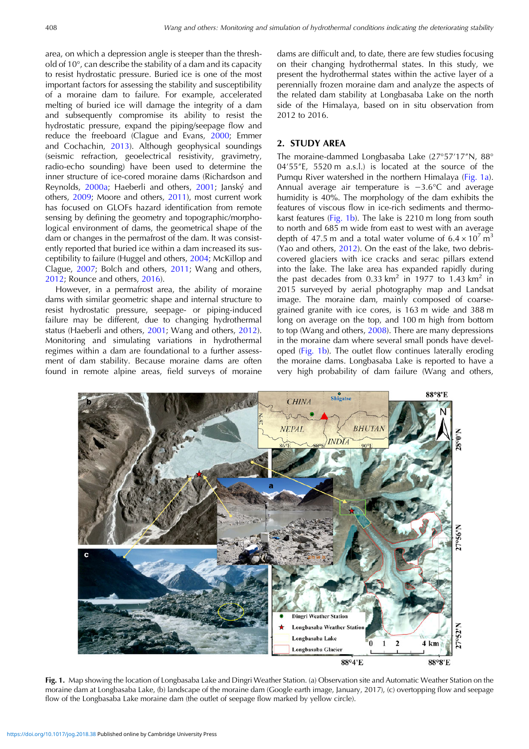<span id="page-1-0"></span>area, on which a depression angle is steeper than the threshold of 10°, can describe the stability of a dam and its capacity to resist hydrostatic pressure. Buried ice is one of the most important factors for assessing the stability and susceptibility of a moraine dam to failure. For example, accelerated melting of buried ice will damage the integrity of a dam and subsequently compromise its ability to resist the hydrostatic pressure, expand the piping/seepage flow and reduce the freeboard (Clague and Evans, [2000](#page-8-0); Emmer and Cochachin, [2013\)](#page-8-0). Although geophysical soundings (seismic refraction, geoelectrical resistivity, gravimetry, radio-echo sounding) have been used to determine the inner structure of ice-cored moraine dams (Richardson and Reynolds, [2000a](#page-8-0); Haeberli and others, [2001;](#page-8-0) Janský and others, [2009;](#page-8-0) Moore and others, [2011](#page-8-0)), most current work has focused on GLOFs hazard identification from remote sensing by defining the geometry and topographic/morphological environment of dams, the geometrical shape of the dam or changes in the permafrost of the dam. It was consistently reported that buried ice within a dam increased its susceptibility to failure (Huggel and others, [2004;](#page-8-0) McKillop and Clague, [2007](#page-8-0); Bolch and others, [2011](#page-8-0); Wang and others, [2012](#page-9-0); Rounce and others, [2016](#page-9-0)).

However, in a permafrost area, the ability of moraine dams with similar geometric shape and internal structure to resist hydrostatic pressure, seepage- or piping-induced failure may be different, due to changing hydrothermal status (Haeberli and others, [2001;](#page-8-0) Wang and others, [2012\)](#page-9-0). Monitoring and simulating variations in hydrothermal regimes within a dam are foundational to a further assessment of dam stability. Because moraine dams are often found in remote alpine areas, field surveys of moraine

dams are difficult and, to date, there are few studies focusing on their changing hydrothermal states. In this study, we present the hydrothermal states within the active layer of a perennially frozen moraine dam and analyze the aspects of the related dam stability at Longbasaba Lake on the north side of the Himalaya, based on in situ observation from 2012 to 2016.

## 2. STUDY AREA

The moraine-dammed Longbasaba Lake (27°57′17″N, 88° 04′55″E, 5520 m a.s.l.) is located at the source of the Pumqu River watershed in the northern Himalaya (Fig. 1a). Annual average air temperature is −3.6°C and average humidity is 40%. The morphology of the dam exhibits the features of viscous flow in ice-rich sediments and thermokarst features (Fig. 1b). The lake is 2210 m long from south to north and 685 m wide from east to west with an average depth of 47.5 m and a total water volume of  $6.4 \times 10^7$  m<sup>3</sup> (Yao and others, [2012\)](#page-9-0). On the east of the lake, two debriscovered glaciers with ice cracks and serac pillars extend into the lake. The lake area has expanded rapidly during the past decades from 0.33 km<sup>2</sup> in 1977 to 1.43 km<sup>2</sup> in 2015 surveyed by aerial photography map and Landsat image. The moraine dam, mainly composed of coarsegrained granite with ice cores, is 163 m wide and 388 m long on average on the top, and 100 m high from bottom to top (Wang and others, [2008](#page-9-0)). There are many depressions in the moraine dam where several small ponds have developed (Fig. 1b). The outlet flow continues laterally eroding the moraine dams. Longbasaba Lake is reported to have a very high probability of dam failure (Wang and others,



Fig. 1. Map showing the location of Longbasaba Lake and Dingri Weather Station. (a) Observation site and Automatic Weather Station on the moraine dam at Longbasaba Lake, (b) landscape of the moraine dam (Google earth image, January, 2017), (c) overtopping flow and seepage flow of the Longbasaba Lake moraine dam (the outlet of seepage flow marked by yellow circle).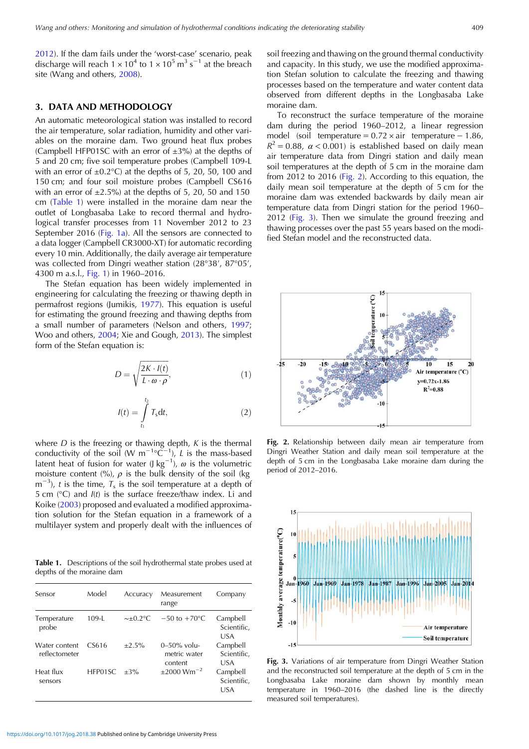[2012\)](#page-9-0). If the dam fails under the 'worst-case' scenario, peak discharge will reach  $1 \times 10^4$  to  $1 \times 10^5$  m<sup>3</sup> s<sup>-1</sup> at the breach site (Wang and others, [2008\)](#page-9-0).

#### 3. DATA AND METHODOLOGY

An automatic meteorological station was installed to record the air temperature, solar radiation, humidity and other variables on the moraine dam. Two ground heat flux probes (Campbell HFP01SC with an error of  $\pm 3\%$ ) at the depths of 5 and 20 cm; five soil temperature probes (Campbell 109-L with an error of  $\pm 0.2$ °C) at the depths of 5, 20, 50, 100 and 150 cm; and four soil moisture probes (Campbell CS616 with an error of  $\pm 2.5\%$ ) at the depths of 5, 20, 50 and 150 cm (Table 1) were installed in the moraine dam near the outlet of Longbasaba Lake to record thermal and hydrological transfer processes from 11 November 2012 to 23 September 2016 [\(Fig. 1a](#page-1-0)). All the sensors are connected to a data logger (Campbell CR3000-XT) for automatic recording every 10 min. Additionally, the daily average air temperature was collected from Dingri weather station (28°38′, 87°05′, 4300 m a.s.l., [Fig. 1\)](#page-1-0) in 1960–2016.

The Stefan equation has been widely implemented in engineering for calculating the freezing or thawing depth in permafrost regions (Jumikis, [1977](#page-8-0)). This equation is useful for estimating the ground freezing and thawing depths from a small number of parameters (Nelson and others, [1997;](#page-8-0) Woo and others, [2004](#page-9-0); Xie and Gough, [2013\)](#page-9-0). The simplest form of the Stefan equation is:

$$
D = \sqrt{\frac{2K \cdot I(t)}{L \cdot \omega \cdot \rho}},\tag{1}
$$

$$
I(t) = \int_{t_1}^{t_2} T_s dt,
$$
 (2)

where  $D$  is the freezing or thawing depth,  $K$  is the thermal conductivity of the soil (W m<sup>-1</sup>°C<sup>-1</sup>), *L* is the mass-based latent heat of fusion for water (J kg<sup>-1</sup>),  $\omega$  is the volumetric moisture content (%),  $\rho$  is the bulk density of the soil (kg  $m^{-3}$ ), t is the time,  $T_s$  is the soil temperature at a depth of 5 cm  $(°C)$  and  $I(t)$  is the surface freeze/thaw index. Li and Koike [\(2003](#page-8-0)) proposed and evaluated a modified approximation solution for the Stefan equation in a framework of a multilayer system and properly dealt with the influences of

Table 1. Descriptions of the soil hydrothermal state probes used at depths of the moraine dam

| Sensor                         | Model     | Accuracy          | Measurement<br>range                      | Company                        |
|--------------------------------|-----------|-------------------|-------------------------------------------|--------------------------------|
| Temperature<br>probe           | $109 - 1$ | $\sim \pm 0.2$ °C | $-50$ to $+70^{\circ}$ C                  | Campbell<br>Scientific,<br>USA |
| Water content<br>reflectometer | CS616     | $+2.5%$           | $0-50\%$ volu-<br>metric water<br>content | Campbell<br>Scientific,<br>USA |
| Heat flux<br>sensors           | HFP01SC   | $+3\%$            | $\pm 2000$ Wm <sup>-2</sup>               | Campbell<br>Scientific,<br>USA |

soil freezing and thawing on the ground thermal conductivity and capacity. In this study, we use the modified approximation Stefan solution to calculate the freezing and thawing processes based on the temperature and water content data observed from different depths in the Longbasaba Lake moraine dam.

To reconstruct the surface temperature of the moraine dam during the period 1960–2012, a linear regression model (soil temperature =  $0.72 \times air$  temperature − 1.86,  $R^2 = 0.88$ ,  $\alpha < 0.001$ ) is established based on daily mean air temperature data from Dingri station and daily mean soil temperatures at the depth of 5 cm in the moraine dam from 2012 to 2016 (Fig. 2). According to this equation, the daily mean soil temperature at the depth of 5 cm for the moraine dam was extended backwards by daily mean air temperature data from Dingri station for the period 1960– 2012 (Fig. 3). Then we simulate the ground freezing and thawing processes over the past 55 years based on the modified Stefan model and the reconstructed data.



Fig. 2. Relationship between daily mean air temperature from Dingri Weather Station and daily mean soil temperature at the depth of 5 cm in the Longbasaba Lake moraine dam during the period of 2012–2016.



Fig. 3. Variations of air temperature from Dingri Weather Station and the reconstructed soil temperature at the depth of 5 cm in the Longbasaba Lake moraine dam shown by monthly mean temperature in 1960–2016 (the dashed line is the directly measured soil temperatures).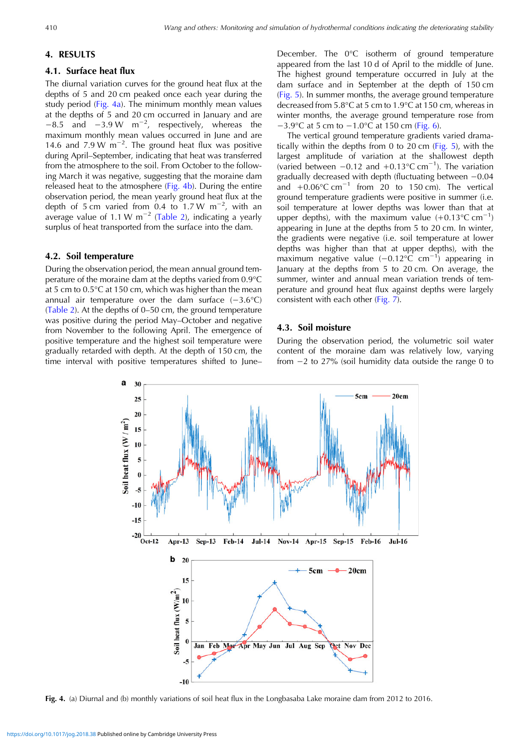# 4. RESULTS

# 4.1. Surface heat flux

The diurnal variation curves for the ground heat flux at the depths of 5 and 20 cm peaked once each year during the study period (Fig. 4a). The minimum monthly mean values at the depths of 5 and 20 cm occurred in January and are −8.5 and −3.9 W m−<sup>2</sup> , respectively, whereas the maximum monthly mean values occurred in June and are 14.6 and 7.9 W  $\text{m}^{-2}$ . The ground heat flux was positive during April–September, indicating that heat was transferred from the atmosphere to the soil. From October to the following March it was negative, suggesting that the moraine dam released heat to the atmosphere ( $Fig. 4b$ ). During the entire observation period, the mean yearly ground heat flux at the depth of 5 cm varied from 0.4 to 1.7 W m<sup>-2</sup>, with an average value of 1.1 W m<sup>-2</sup> ([Table 2](#page-4-0)), indicating a yearly surplus of heat transported from the surface into the dam.

#### 4.2. Soil temperature

During the observation period, the mean annual ground temperature of the moraine dam at the depths varied from 0.9°C at 5 cm to 0.5°C at 150 cm, which was higher than the mean annual air temperature over the dam surface  $(-3.6^{\circ}C)$ ([Table 2](#page-4-0)). At the depths of 0–50 cm, the ground temperature was positive during the period May–October and negative from November to the following April. The emergence of positive temperature and the highest soil temperature were gradually retarded with depth. At the depth of 150 cm, the time interval with positive temperatures shifted to June–

December. The 0°C isotherm of ground temperature appeared from the last 10 d of April to the middle of June. The highest ground temperature occurred in July at the dam surface and in September at the depth of 150 cm [\(Fig. 5](#page-5-0)). In summer months, the average ground temperature decreased from 5.8°C at 5 cm to 1.9°C at 150 cm, whereas in winter months, the average ground temperature rose from −3.9°C at 5 cm to −1.0°C at 150 cm [\(Fig. 6\)](#page-5-0).

The vertical ground temperature gradients varied dramatically within the depths from 0 to 20 cm ([Fig. 5](#page-5-0)), with the largest amplitude of variation at the shallowest depth (varied between −0.12 and +0.13°C cm−<sup>1</sup> ). The variation gradually decreased with depth (fluctuating between −0.04 and  $+0.06$ °C cm<sup>-1</sup> from 20 to 150 cm). The vertical ground temperature gradients were positive in summer (i.e. soil temperature at lower depths was lower than that at upper depths), with the maximum value  $(+0.13^{\circ}$ C cm<sup>-1</sup>) appearing in June at the depths from 5 to 20 cm. In winter, the gradients were negative (i.e. soil temperature at lower depths was higher than that at upper depths), with the maximum negative value (−0.12°C cm−<sup>1</sup> ) appearing in January at the depths from 5 to 20 cm. On average, the summer, winter and annual mean variation trends of temperature and ground heat flux against depths were largely consistent with each other [\(Fig. 7](#page-5-0)).

## 4.3. Soil moisture

During the observation period, the volumetric soil water content of the moraine dam was relatively low, varying from −2 to 27% (soil humidity data outside the range 0 to



Fig. 4. (a) Diurnal and (b) monthly variations of soil heat flux in the Longbasaba Lake moraine dam from 2012 to 2016.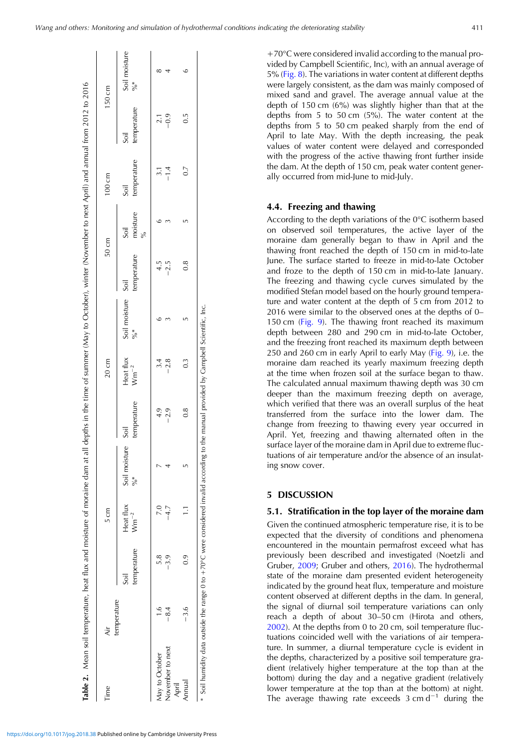| +70°C were considered invalid according to the manual pro-             |
|------------------------------------------------------------------------|
| vided by Campbell Scientific, Inc), with an annual average of          |
| 5% (Fig. 8). The variations in water content at different depths       |
| were largely consistent, as the dam was mainly composed of             |
| mixed sand and gravel. The average annual value at the                 |
| depth of 150 cm (6%) was slightly higher than that at the              |
| depths from $5$ to $50 \text{ cm}$ ( $5\%$ ). The water content at the |
| depths from 5 to 50 cm peaked sharply from the end of                  |
| April to late May. With the depth increasing, the peak                 |
| values of water content were delayed and corresponded                  |
| with the progress of the active thawing front further inside           |
| the dam. At the depth of 150 cm, peak water content gener-             |
| ally occurred from mid-June to mid-July.                               |
|                                                                        |
|                                                                        |

## 4.4. Freezing and thawing

According to the depth variations of the 0°C isotherm based on observed soil temperatures, the active layer of the moraine dam generally began to thaw in April and the thawing front reached the depth of 150 cm in mid-to-late June. The surface started to freeze in mid-to-late October and froze to the depth of 150 cm in mid-to-late January. The freezing and thawing cycle curves simulated by the modified Stefan model based on the hourly ground temperature and water content at the depth of 5 cm from 2012 to 2016 were similar to the observed ones at the depths of 0– 150 cm [\(Fig. 9\)](#page-5-0). The thawing front reached its maximum depth between 280 and 290 cm in mid-to-late October, and the freezing front reached its maximum depth between 250 and 260 cm in early April to early May [\(Fig. 9](#page-5-0)), i.e. the moraine dam reached its yearly maximum freezing depth at the time when frozen soil at the surface began to thaw. The calculated annual maximum thawing depth was 30 cm deeper than the maximum freezing depth on average, which verified that there was an overall surplus of the heat transferred from the surface into the lower dam. The change from freezing to thawing every year occurred in April. Yet, freezing and thawing alternated often in the surface layer of the moraine dam in April due to extreme fluctuations of air temperature and/or the absence of an insulating snow cover.

## 5 DISCUSSION

#### 5.1. Stratification in the top layer of the moraine dam

Given the continued atmospheric temperature rise, it is to be expected that the diversity of conditions and phenomena encountered in the mountain permafrost exceed what has previously been described and investigated (Noetzli and Gruber, [2009;](#page-8-0) Gruber and others, [2016](#page-8-0)). The hydrothermal state of the moraine dam presented evident heterogeneity indicated by the ground heat flux, temperature and moisture content observed at different depths in the dam. In general, the signal of diurnal soil temperature variations can only reach a depth of about 30–50 cm (Hirota and others, [2002\)](#page-8-0). At the depths from 0 to 20 cm, soil temperature fluctuations coincided well with the variations of air temperature. In summer, a diurnal temperature cycle is evident in the depths, characterized by a positive soil temperature gradient (relatively higher temperature at the top than at the bottom) during the day and a negative gradient (relatively lower temperature at the top than at the bottom) at night. The average thawing rate exceeds  $3 \text{ cm d}^{-1}$  during the

<span id="page-4-0"></span>

| Time                      | √ir           |                     | $5 \text{ cm}$         |                                |                     | $20 \text{ cm}$        |                            |             | $50 \text{ cm}$  | 100 cm              |                  | 150 cm                         |
|---------------------------|---------------|---------------------|------------------------|--------------------------------|---------------------|------------------------|----------------------------|-------------|------------------|---------------------|------------------|--------------------------------|
|                           | temperature   | temperature<br>Soil | Heat flux<br>$Wm^{-2}$ | Soil moisture<br>$\frac{1}{2}$ | temperature<br>Soil | Heat flux<br>$Wm^{-2}$ | Soil moisture Soil<br>$\%$ | temperature | moisture<br>Soil | temperature<br>Soil | temperature      | Soil moisture<br>$\frac{6}{6}$ |
| May to October            | $\frac{1}{1}$ | 5.8                 |                        |                                | 4.9                 | 3.4                    |                            | 4.5         |                  |                     | $\overline{2.1}$ |                                |
| November to next<br>April | $-8.4$        | $-3.9$              |                        |                                | $-2.9$              | $-2.8$                 |                            | $-2.5$      |                  | $-1.4$              | $-0.9$           |                                |
| Annual                    | $-3.6$        | 0.9                 | Ξ                      | ĽŊ                             | 0.8                 | $0.\overline{3}$       |                            | 0.8         |                  | 0.7                 | $\overline{0}$   |                                |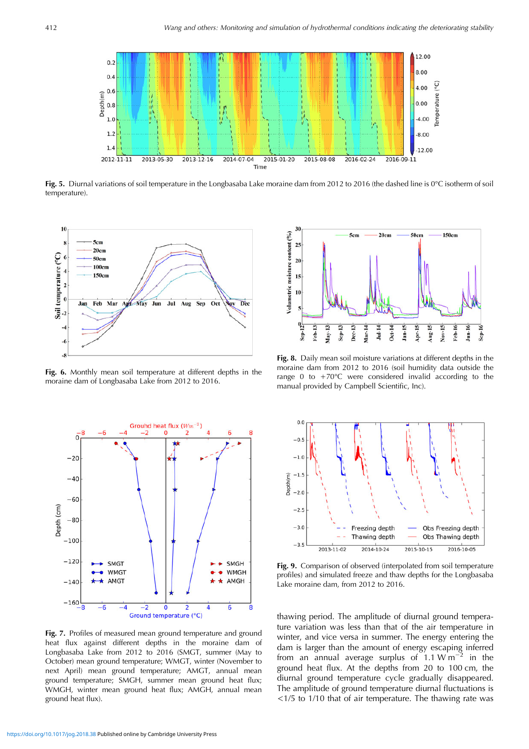<span id="page-5-0"></span>

Fig. 5. Diurnal variations of soil temperature in the Longbasaba Lake moraine dam from 2012 to 2016 (the dashed line is 0°C isotherm of soil temperature).



Fig. 6. Monthly mean soil temperature at different depths in the moraine dam of Longbasaba Lake from 2012 to 2016.



Fig. 7. Profiles of measured mean ground temperature and ground heat flux against different depths in the moraine dam of Longbasaba Lake from 2012 to 2016 (SMGT, summer (May to October) mean ground temperature; WMGT, winter (November to next April) mean ground temperature; AMGT, annual mean ground temperature; SMGH, summer mean ground heat flux; WMGH, winter mean ground heat flux; AMGH, annual mean ground heat flux).



Fig. 8. Daily mean soil moisture variations at different depths in the moraine dam from 2012 to 2016 (soil humidity data outside the range 0 to  $+70^{\circ}$ C were considered invalid according to the manual provided by Campbell Scientific, Inc).



Fig. 9. Comparison of observed (interpolated from soil temperature profiles) and simulated freeze and thaw depths for the Longbasaba Lake moraine dam, from 2012 to 2016.

thawing period. The amplitude of diurnal ground temperature variation was less than that of the air temperature in winter, and vice versa in summer. The energy entering the dam is larger than the amount of energy escaping inferred from an annual average surplus of  $1.1 W m^{-2}$  in the ground heat flux. At the depths from 20 to 100 cm, the diurnal ground temperature cycle gradually disappeared. The amplitude of ground temperature diurnal fluctuations is <1/5 to 1/10 that of air temperature. The thawing rate was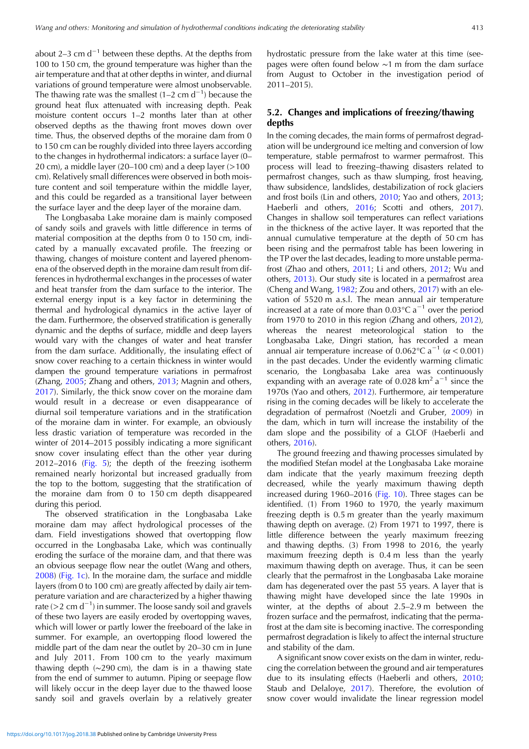about 2–3 cm  $d^{-1}$  between these depths. At the depths from 100 to 150 cm, the ground temperature was higher than the air temperature and that at other depths in winter, and diurnal variations of ground temperature were almost unobservable. The thawing rate was the smallest  $(1-2 \text{ cm d}^{-1})$  because the ground heat flux attenuated with increasing depth. Peak moisture content occurs 1–2 months later than at other observed depths as the thawing front moves down over time. Thus, the observed depths of the moraine dam from 0 to 150 cm can be roughly divided into three layers according to the changes in hydrothermal indicators: a surface layer (0– 20 cm), a middle layer  $(20-100 \text{ cm})$  and a deep layer  $(>100 \text{ cm})$ cm). Relatively small differences were observed in both moisture content and soil temperature within the middle layer, and this could be regarded as a transitional layer between the surface layer and the deep layer of the moraine dam.

The Longbasaba Lake moraine dam is mainly composed of sandy soils and gravels with little difference in terms of material composition at the depths from 0 to 150 cm, indicated by a manually excavated profile. The freezing or thawing, changes of moisture content and layered phenomena of the observed depth in the moraine dam result from differences in hydrothermal exchanges in the processes of water and heat transfer from the dam surface to the interior. The external energy input is a key factor in determining the thermal and hydrological dynamics in the active layer of the dam. Furthermore, the observed stratification is generally dynamic and the depths of surface, middle and deep layers would vary with the changes of water and heat transfer from the dam surface. Additionally, the insulating effect of snow cover reaching to a certain thickness in winter would dampen the ground temperature variations in permafrost (Zhang, [2005;](#page-9-0) Zhang and others, [2013](#page-9-0); Magnin and others, [2017\)](#page-8-0). Similarly, the thick snow cover on the moraine dam would result in a decrease or even disappearance of diurnal soil temperature variations and in the stratification of the moraine dam in winter. For example, an obviously less drastic variation of temperature was recorded in the winter of 2014–2015 possibly indicating a more significant snow cover insulating effect than the other year during 2012–2016 ([Fig. 5](#page-5-0)); the depth of the freezing isotherm remained nearly horizontal but increased gradually from the top to the bottom, suggesting that the stratification of the moraine dam from 0 to 150 cm depth disappeared during this period.

The observed stratification in the Longbasaba Lake moraine dam may affect hydrological processes of the dam. Field investigations showed that overtopping flow occurred in the Longbasaba Lake, which was continually eroding the surface of the moraine dam, and that there was an obvious seepage flow near the outlet (Wang and others, [2008\)](#page-9-0) ([Fig. 1c](#page-1-0)). In the moraine dam, the surface and middle layers (from 0 to 100 cm) are greatly affected by daily air temperature variation and are characterized by a higher thawing rate (>2 cm d−<sup>1</sup> ) in summer. The loose sandy soil and gravels of these two layers are easily eroded by overtopping waves, which will lower or partly lower the freeboard of the lake in summer. For example, an overtopping flood lowered the middle part of the dam near the outlet by 20–30 cm in June and July 2011. From 100 cm to the yearly maximum thawing depth (∼290 cm), the dam is in a thawing state from the end of summer to autumn. Piping or seepage flow will likely occur in the deep layer due to the thawed loose sandy soil and gravels overlain by a relatively greater

hydrostatic pressure from the lake water at this time (seepages were often found below ∼1 m from the dam surface from August to October in the investigation period of 2011–2015).

# 5.2. Changes and implications of freezing/thawing depths

In the coming decades, the main forms of permafrost degradation will be underground ice melting and conversion of low temperature, stable permafrost to warmer permafrost. This process will lead to freezing–thawing disasters related to permafrost changes, such as thaw slumping, frost heaving, thaw subsidence, landslides, destabilization of rock glaciers and frost boils (Lin and others, [2010](#page-8-0); Yao and others, [2013;](#page-9-0) Haeberli and others, [2016](#page-8-0); Scotti and others, [2017](#page-9-0)). Changes in shallow soil temperatures can reflect variations in the thickness of the active layer. It was reported that the annual cumulative temperature at the depth of 50 cm has been rising and the permafrost table has been lowering in the TP over the last decades, leading to more unstable permafrost (Zhao and others, [2011](#page-9-0); Li and others, [2012;](#page-8-0) Wu and others, [2013\)](#page-9-0). Our study site is located in a permafrost area (Cheng and Wang, [1982;](#page-8-0) Zou and others, [2017\)](#page-9-0) with an elevation of 5520 m a.s.l. The mean annual air temperature increased at a rate of more than  $0.03^{\circ}$ C a<sup>-1</sup> over the period from 1970 to 2010 in this region (Zhang and others, [2012](#page-9-0)), whereas the nearest meteorological station to the Longbasaba Lake, Dingri station, has recorded a mean annual air temperature increase of 0.062°C a<sup>-1</sup> ( $\alpha$  < 0.001) in the past decades. Under the evidently warming climatic scenario, the Longbasaba Lake area was continuously expanding with an average rate of 0.028 km<sup>2</sup> a<sup>-1</sup> since the 1970s (Yao and others, [2012\)](#page-9-0). Furthermore, air temperature rising in the coming decades will be likely to accelerate the degradation of permafrost (Noetzli and Gruber, [2009\)](#page-8-0) in the dam, which in turn will increase the instability of the dam slope and the possibility of a GLOF (Haeberli and others, [2016](#page-8-0)).

The ground freezing and thawing processes simulated by the modified Stefan model at the Longbasaba Lake moraine dam indicate that the yearly maximum freezing depth decreased, while the yearly maximum thawing depth increased during 1960–2016 ([Fig. 10\)](#page-7-0). Three stages can be identified. (1) From 1960 to 1970, the yearly maximum freezing depth is 0.5 m greater than the yearly maximum thawing depth on average. (2) From 1971 to 1997, there is little difference between the yearly maximum freezing and thawing depths. (3) From 1998 to 2016, the yearly maximum freezing depth is 0.4 m less than the yearly maximum thawing depth on average. Thus, it can be seen clearly that the permafrost in the Longbasaba Lake moraine dam has degenerated over the past 55 years. A layer that is thawing might have developed since the late 1990s in winter, at the depths of about 2.5–2.9 m between the frozen surface and the permafrost, indicating that the permafrost at the dam site is becoming inactive. The corresponding permafrost degradation is likely to affect the internal structure and stability of the dam.

A significant snow cover exists on the dam in winter, reducing the correlation between the ground and air temperatures due to its insulating effects (Haeberli and others, [2010;](#page-8-0) Staub and Delaloye, [2017](#page-9-0)). Therefore, the evolution of snow cover would invalidate the linear regression model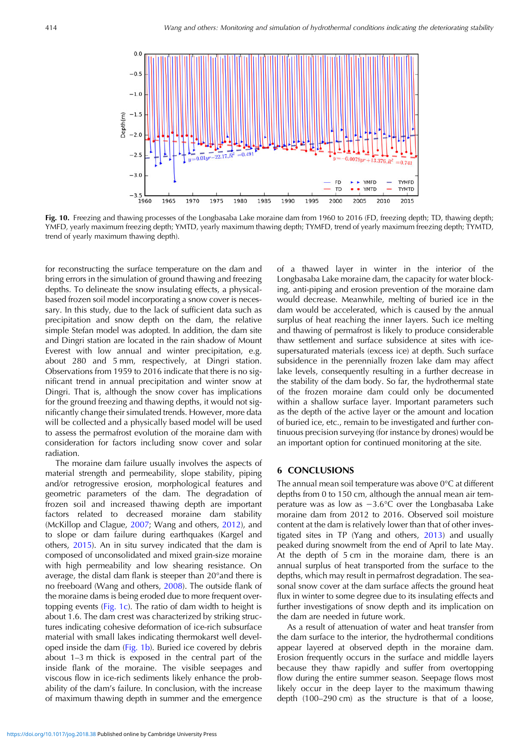<span id="page-7-0"></span>

Fig. 10. Freezing and thawing processes of the Longbasaba Lake moraine dam from 1960 to 2016 (FD, freezing depth; TD, thawing depth; YMFD, yearly maximum freezing depth; YMTD, yearly maximum thawing depth; TYMFD, trend of yearly maximum freezing depth; TYMTD, trend of yearly maximum thawing depth).

for reconstructing the surface temperature on the dam and bring errors in the simulation of ground thawing and freezing depths. To delineate the snow insulating effects, a physicalbased frozen soil model incorporating a snow cover is necessary. In this study, due to the lack of sufficient data such as precipitation and snow depth on the dam, the relative simple Stefan model was adopted. In addition, the dam site and Dingri station are located in the rain shadow of Mount Everest with low annual and winter precipitation, e.g. about 280 and 5 mm, respectively, at Dingri station. Observations from 1959 to 2016 indicate that there is no significant trend in annual precipitation and winter snow at Dingri. That is, although the snow cover has implications for the ground freezing and thawing depths, it would not significantly change their simulated trends. However, more data will be collected and a physically based model will be used to assess the permafrost evolution of the moraine dam with consideration for factors including snow cover and solar radiation.

The moraine dam failure usually involves the aspects of material strength and permeability, slope stability, piping and/or retrogressive erosion, morphological features and geometric parameters of the dam. The degradation of frozen soil and increased thawing depth are important factors related to decreased moraine dam stability (McKillop and Clague, [2007;](#page-8-0) Wang and others, [2012](#page-9-0)), and to slope or dam failure during earthquakes (Kargel and others, [2015](#page-8-0)). An in situ survey indicated that the dam is composed of unconsolidated and mixed grain-size moraine with high permeability and low shearing resistance. On average, the distal dam flank is steeper than 20°and there is no freeboard (Wang and others, [2008](#page-9-0)). The outside flank of the moraine dams is being eroded due to more frequent overtopping events [\(Fig. 1c](#page-1-0)). The ratio of dam width to height is about 1.6. The dam crest was characterized by striking structures indicating cohesive deformation of ice-rich subsurface material with small lakes indicating thermokarst well developed inside the dam ([Fig. 1b\)](#page-1-0). Buried ice covered by debris about 1–3 m thick is exposed in the central part of the inside flank of the moraine. The visible seepages and viscous flow in ice-rich sediments likely enhance the probability of the dam's failure. In conclusion, with the increase of maximum thawing depth in summer and the emergence of a thawed layer in winter in the interior of the Longbasaba Lake moraine dam, the capacity for water blocking, anti-piping and erosion prevention of the moraine dam would decrease. Meanwhile, melting of buried ice in the dam would be accelerated, which is caused by the annual surplus of heat reaching the inner layers. Such ice melting and thawing of permafrost is likely to produce considerable thaw settlement and surface subsidence at sites with icesupersaturated materials (excess ice) at depth. Such surface subsidence in the perennially frozen lake dam may affect lake levels, consequently resulting in a further decrease in the stability of the dam body. So far, the hydrothermal state of the frozen moraine dam could only be documented within a shallow surface layer. Important parameters such as the depth of the active layer or the amount and location of buried ice, etc., remain to be investigated and further continuous precision surveying (for instance by drones) would be an important option for continued monitoring at the site.

#### 6 CONCLUSIONS

The annual mean soil temperature was above 0°C at different depths from 0 to 150 cm, although the annual mean air temperature was as low as −3.6°C over the Longbasaba Lake moraine dam from 2012 to 2016. Observed soil moisture content at the dam is relatively lower than that of other investigated sites in TP (Yang and others, [2013](#page-9-0)) and usually peaked during snowmelt from the end of April to late May. At the depth of 5 cm in the moraine dam, there is an annual surplus of heat transported from the surface to the depths, which may result in permafrost degradation. The seasonal snow cover at the dam surface affects the ground heat flux in winter to some degree due to its insulating effects and further investigations of snow depth and its implication on the dam are needed in future work.

As a result of attenuation of water and heat transfer from the dam surface to the interior, the hydrothermal conditions appear layered at observed depth in the moraine dam. Erosion frequently occurs in the surface and middle layers because they thaw rapidly and suffer from overtopping flow during the entire summer season. Seepage flows most likely occur in the deep layer to the maximum thawing depth (100–290 cm) as the structure is that of a loose,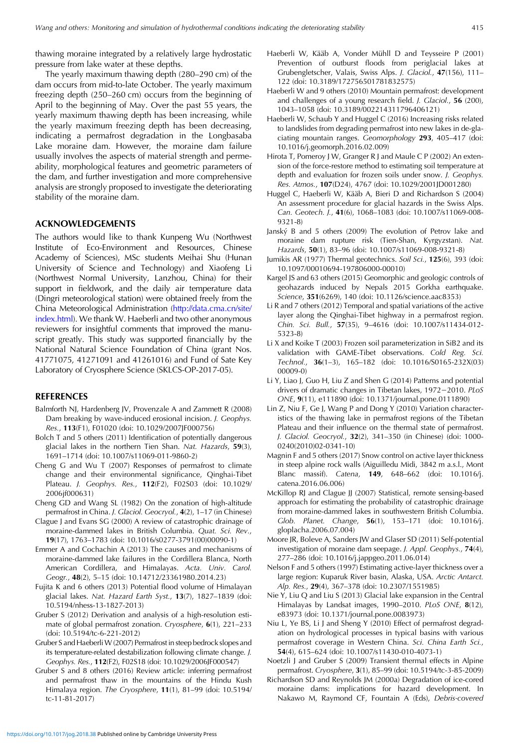<span id="page-8-0"></span>thawing moraine integrated by a relatively large hydrostatic pressure from lake water at these depths.

The yearly maximum thawing depth (280–290 cm) of the dam occurs from mid-to-late October. The yearly maximum freezing depth (250–260 cm) occurs from the beginning of April to the beginning of May. Over the past 55 years, the yearly maximum thawing depth has been increasing, while the yearly maximum freezing depth has been decreasing, indicating a permafrost degradation in the Longbasaba Lake moraine dam. However, the moraine dam failure usually involves the aspects of material strength and permeability, morphological features and geometric parameters of the dam, and further investigation and more comprehensive analysis are strongly proposed to investigate the deteriorating stability of the moraine dam.

## ACKNOWLEDGEMENTS

The authors would like to thank Kunpeng Wu (Northwest Institute of Eco-Environment and Resources, Chinese Academy of Sciences), MSc students Meihai Shu (Hunan University of Science and Technology) and Xiaofeng Li (Northwest Normal University, Lanzhou, China) for their support in fieldwork, and the daily air temperature data (Dingri meteorological station) were obtained freely from the China Meteorological Administration ([http://data.cma.cn/site/](http://data.cma.cn/site/index.html) [index.html](http://data.cma.cn/site/index.html)). We thank W. Haeberli and two other anonymous reviewers for insightful comments that improved the manuscript greatly. This study was supported financially by the National Natural Science Foundation of China (grant Nos. 41771075, 41271091 and 41261016) and Fund of Sate Key Laboratory of Cryosphere Science (SKLCS-OP-2017-05).

## **REFERENCES**

- Balmforth NJ, Hardenberg JV, Provenzale A and Zammett R (2008) Dam breaking by wave-induced erosional incision. J. Geophys. Res., 113(F1), F01020 (doi: 10.1029/2007JF000756)
- Bolch T and 5 others (2011) Identification of potentially dangerous glacial lakes in the northern Tien Shan. Nat. Hazards, 59(3), 1691–1714 (doi: 10.1007/s11069-011-9860-2)
- Cheng G and Wu T (2007) Responses of permafrost to climate change and their environmental significance, Qinghai-Tibet Plateau. J. Geophys. Res., 112(F2), F02S03 (doi: 10.1029/ 2006jf000631)
- Cheng GD and Wang SL (1982) On the zonation of high-altitude permafrost in China. J. Glaciol. Geocryol., 4(2), 1–17 (in Chinese)
- Clague J and Evans SG (2000) A review of catastrophic drainage of moraine-dammed lakes in British Columbia. Quat. Sci. Rev., 19(17), 1763–1783 (doi: 10.1016/s0277-3791(00)00090-1)
- Emmer A and Cochachin A (2013) The causes and mechanisms of moraine-dammed lake failures in the Cordillera Blanca, North American Cordillera, and Himalayas. Acta. Univ. Carol. Geogr., 48(2), 5–15 (doi: 10.14712/23361980.2014.23)
- Fujita K and 6 others (2013) Potential flood volume of Himalayan glacial lakes. Nat. Hazard Earth Syst., 13(7), 1827–1839 (doi: 10.5194/nhess-13-1827-2013)
- Gruber S (2012) Derivation and analysis of a high-resolution estimate of global permafrost zonation. Cryosphere, 6(1), 221–233 (doi: 10.5194/tc-6-221-2012)
- Gruber S and Haeberli W (2007) Permafrost in steep bedrock slopes and its temperature-related destabilization following climate change. J. Geophys. Res., 112(F2), F02S18 (doi: 10.1029/2006JF000547)
- Gruber S and 8 others (2016) Review article: inferring permafrost and permafrost thaw in the mountains of the Hindu Kush Himalaya region. The Cryosphere, 11(1), 81–99 (doi: 10.5194/ tc-11-81-2017)
- Haeberli W, Kääb A, Vonder Mühll D and Teysseire P (2001) Prevention of outburst floods from periglacial lakes at Grubengletscher, Valais, Swiss Alps. J. Glaciol., 47(156), 111– 122 (doi: 10.3189/172756501781832575)
- Haeberli W and 9 others (2010) Mountain permafrost: development and challenges of a young research field. J. Glaciol., 56 (200), 1043–1058 (doi: 10.3189/002214311796406121)
- Haeberli W, Schaub Y and Huggel C (2016) Increasing risks related to landslides from degrading permafrost into new lakes in de-glaciating mountain ranges. Geomorphology 293, 405–417 (doi: 10.1016/j.geomorph.2016.02.009)
- Hirota T, Pomeroy J W, Granger R J and Maule C P (2002) An extension of the force-restore method to estimating soil temperature at depth and evaluation for frozen soils under snow. J. Geophys. Res. Atmos., 107(D24), 4767 (doi: 10.1029/2001JD001280)
- Huggel C, Haeberli W, Kääb A, Bieri D and Richardson S (2004) An assessment procedure for glacial hazards in the Swiss Alps. Can. Geotech. J., 41(6), 1068–1083 (doi: 10.1007/s11069-008- 9321-8)
- Janský B and 5 others (2009) The evolution of Petrov lake and moraine dam rupture risk (Tien-Shan, Kyrgyzstan). Nat. Hazards, 50(1), 83–96 (doi: 10.1007/s11069-008-9321-8)
- Jumikis AR (1977) Thermal geotechnics. Soil Sci., 125(6), 393 (doi: 10.1097/00010694-197806000-00010)
- Kargel JS and 63 others (2015) Geomorphic and geologic controls of geohazards induced by Nepals 2015 Gorkha earthquake. Science, 351(6269), 140 (doi: 10.1126/science.aac8353)
- Li R and 7 others (2012) Temporal and spatial variations of the active layer along the Qinghai-Tibet highway in a permafrost region. Chin. Sci. Bull., 57(35), 9–4616 (doi: 10.1007/s11434-012- 5323-8)
- Li X and Koike T (2003) Frozen soil parameterization in SiB2 and its validation with GAME-Tibet observations. Cold Reg. Sci. Technol., 36(1–3), 165–182 (doi: 10.1016/S0165-232X(03) 00009-0)
- Li Y, Liao J, Guo H, Liu Z and Shen G (2014) Patterns and potential drivers of dramatic changes in Tibetan lakes, 1972−2010. PLoS ONE, 9(11), e111890 (doi: 10.1371/journal.pone.0111890)
- Lin Z, Niu F, Ge J, Wang P and Dong Y (2010) Variation characteristics of the thawing lake in permafrost regions of the Tibetan Plateau and their influence on the thermal state of permafrost. J. Glaciol. Geocryol., 32(2), 341–350 (in Chinese) (doi: 1000- 0240(2010)02-0341-10)
- Magnin F and 5 others (2017) Snow control on active layer thickness in steep alpine rock walls (Aiguilledu Midi, 3842 m a.s.l., Mont Blanc massif). Catena, 149, 648–662 (doi: 10.1016/j. catena.2016.06.006)
- McKillop RJ and Clague JJ (2007) Statistical, remote sensing-based approach for estimating the probability of catastrophic drainage from moraine-dammed lakes in southwestern British Columbia. Glob. Planet. Change, 56(1), 153–171 (doi: 10.1016/j. gloplacha.2006.07.004)
- Moore JR, Boleve A, Sanders JW and Glaser SD (2011) Self-potential investigation of moraine dam seepage. J. Appl. Geophys., 74(4), 277–286 (doi: 10.1016/j.jappgeo.2011.06.014)
- Nelson F and 5 others (1997) Estimating active-layer thickness over a large region: Kuparuk River basin, Alaska, USA. Arctic Antarct. Alp. Res., 29(4), 367–378 (doi: 10.2307/1551985)
- Nie Y, Liu Q and Liu S (2013) Glacial lake expansion in the Central Himalayas by Landsat images, 1990–2010. PLoS ONE, 8(12), e83973 (doi: 10.1371/journal.pone.0083973)
- Niu L, Ye BS, Li J and Sheng Y (2010) Effect of permafrost degradation on hydrological processes in typical basins with various permafrost coverage in Western China. Sci. China Earth Sci., 54(4), 615–624 (doi: 10.1007/s11430-010-4073-1)
- Noetzli J and Gruber S (2009) Transient thermal effects in Alpine permafrost. Cryosphere, 3(1), 85–99 (doi: 10.5194/tc-3-85-2009)
- Richardson SD and Reynolds JM (2000a) Degradation of ice-cored moraine dams: implications for hazard development. In Nakawo M, Raymond CF, Fountain A (Eds), Debris-covered